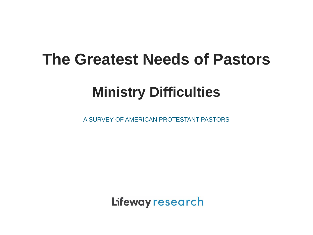### **The Greatest Needs of Pastors**

### **Ministry Difficulties**

A SURVEY OF AMERICAN PROTESTANT PASTORS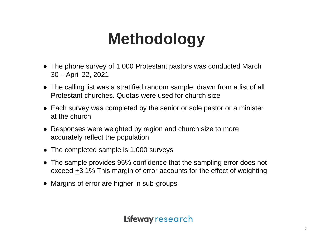# **Methodology**

- The phone survey of 1,000 Protestant pastors was conducted March 30 – April 22, 2021
- The calling list was a stratified random sample, drawn from a list of all Protestant churches. Quotas were used for church size
- Each survey was completed by the senior or sole pastor or a minister at the church
- Responses were weighted by region and church size to more accurately reflect the population
- The completed sample is 1,000 surveys
- The sample provides 95% confidence that the sampling error does not exceed  $\pm$ 3.1% This margin of error accounts for the effect of weighting
- Margins of error are higher in sub-groups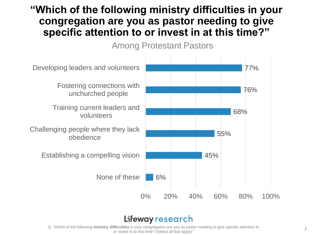### **"Which of the following ministry difficulties in your congregation are you as pastor needing to give specific attention to or invest in at this time?"**

Among Protestant Pastors



#### Lifeway research

Q: "Which of the following **ministry difficulties** in your congregation are you as pastor needing to give specific attention to or invest in at this time? (Select all that apply)*"*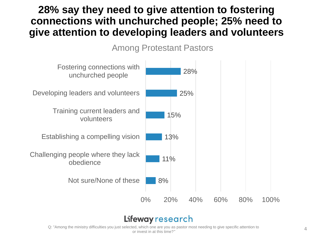### **28% say they need to give attention to fostering connections with unchurched people; 25% need to give attention to developing leaders and volunteers**

Among Protestant Pastors



#### Lifeway research

Q: "Among the ministry difficulties you just selected, which one are you as pastor most needing to give specific attention to or invest in at this time?*"*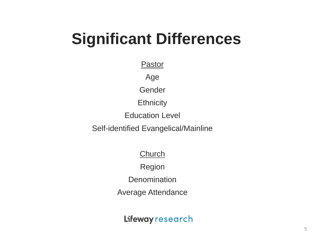## **Significant Differences**

Pastor

Age

Gender

**Ethnicity** 

Education Level

Self-identified Evangelical/Mainline

**Church** 

Region

**Denomination** 

Average Attendance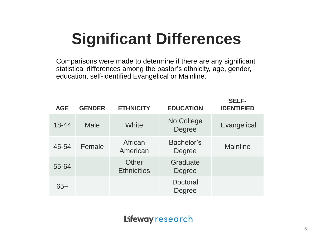# **Significant Differences**

Comparisons were made to determine if there are any significant statistical differences among the pastor's ethnicity, age, gender, education, self-identified Evangelical or Mainline.

| <b>AGE</b> | <b>GENDER</b> | <b>ETHNICITY</b>            | <b>EDUCATION</b>          | <b>SELF-</b><br><b>IDENTIFIED</b> |
|------------|---------------|-----------------------------|---------------------------|-----------------------------------|
| 18-44      | <b>Male</b>   | White                       | No College<br>Degree      | Evangelical                       |
| 45-54      | Female        | African<br>American         | Bachelor's<br>Degree      | <b>Mainline</b>                   |
| 55-64      |               | Other<br><b>Ethnicities</b> | Graduate<br>Degree        |                                   |
| $65+$      |               |                             | <b>Doctoral</b><br>Degree |                                   |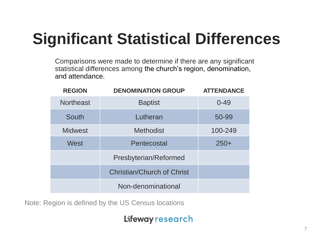# **Significant Statistical Differences**

Comparisons were made to determine if there are any significant statistical differences among the church's region, denomination, and attendance.

| <b>REGION</b>    | <b>DENOMINATION GROUP</b>         | <b>ATTENDANCE</b> |
|------------------|-----------------------------------|-------------------|
| <b>Northeast</b> | <b>Baptist</b>                    | $0 - 49$          |
| South            | Lutheran                          | 50-99             |
| <b>Midwest</b>   | <b>Methodist</b>                  | 100-249           |
| West             | Pentecostal                       | $250+$            |
|                  | Presbyterian/Reformed             |                   |
|                  | <b>Christian/Church of Christ</b> |                   |
|                  | Non-denominational                |                   |

Note: Region is defined by the US Census locations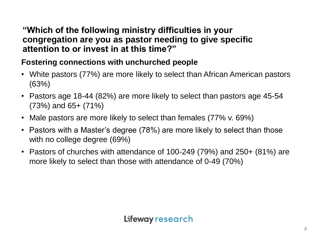#### **"Which of the following ministry difficulties in your congregation are you as pastor needing to give specific attention to or invest in at this time?"**

#### **Fostering connections with unchurched people**

- White pastors (77%) are more likely to select than African American pastors (63%)
- Pastors age 18-44 (82%) are more likely to select than pastors age 45-54 (73%) and 65+ (71%)
- Male pastors are more likely to select than females (77% v. 69%)
- Pastors with a Master's degree (78%) are more likely to select than those with no college degree (69%)
- Pastors of churches with attendance of 100-249 (79%) and 250+ (81%) are more likely to select than those with attendance of 0-49 (70%)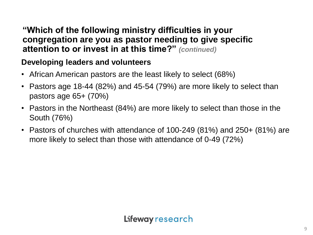#### **"Which of the following ministry difficulties in your congregation are you as pastor needing to give specific attention to or invest in at this time?"** *(continued)*

#### **Developing leaders and volunteers**

- African American pastors are the least likely to select (68%)
- Pastors age 18-44 (82%) and 45-54 (79%) are more likely to select than pastors age 65+ (70%)
- Pastors in the Northeast (84%) are more likely to select than those in the South (76%)
- Pastors of churches with attendance of 100-249 (81%) and 250+ (81%) are more likely to select than those with attendance of 0-49 (72%)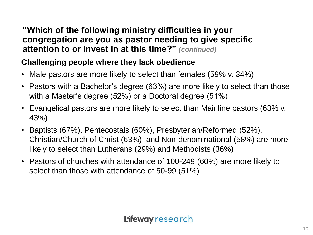#### **"Which of the following ministry difficulties in your congregation are you as pastor needing to give specific attention to or invest in at this time?"** *(continued)*

#### **Challenging people where they lack obedience**

- Male pastors are more likely to select than females (59% v. 34%)
- Pastors with a Bachelor's degree (63%) are more likely to select than those with a Master's degree (52%) or a Doctoral degree (51%)
- Evangelical pastors are more likely to select than Mainline pastors (63% v. 43%)
- Baptists (67%), Pentecostals (60%), Presbyterian/Reformed (52%), Christian/Church of Christ (63%), and Non-denominational (58%) are more likely to select than Lutherans (29%) and Methodists (36%)
- Pastors of churches with attendance of 100-249 (60%) are more likely to select than those with attendance of 50-99 (51%)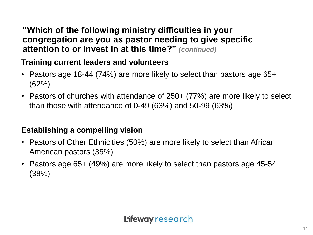#### **"Which of the following ministry difficulties in your congregation are you as pastor needing to give specific attention to or invest in at this time?"** *(continued)*

#### **Training current leaders and volunteers**

- Pastors age 18-44 (74%) are more likely to select than pastors age 65+ (62%)
- Pastors of churches with attendance of 250+ (77%) are more likely to select than those with attendance of 0-49 (63%) and 50-99 (63%)

#### **Establishing a compelling vision**

- Pastors of Other Ethnicities (50%) are more likely to select than African American pastors (35%)
- Pastors age 65+ (49%) are more likely to select than pastors age 45-54 (38%)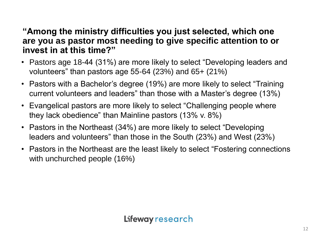#### **"Among the ministry difficulties you just selected, which one are you as pastor most needing to give specific attention to or invest in at this time?"**

- Pastors age 18-44 (31%) are more likely to select "Developing leaders and volunteers" than pastors age 55-64 (23%) and 65+ (21%)
- Pastors with a Bachelor's degree (19%) are more likely to select "Training current volunteers and leaders" than those with a Master's degree (13%)
- Evangelical pastors are more likely to select "Challenging people where they lack obedience" than Mainline pastors (13% v. 8%)
- Pastors in the Northeast (34%) are more likely to select "Developing leaders and volunteers" than those in the South (23%) and West (23%)
- Pastors in the Northeast are the least likely to select "Fostering connections with unchurched people (16%)